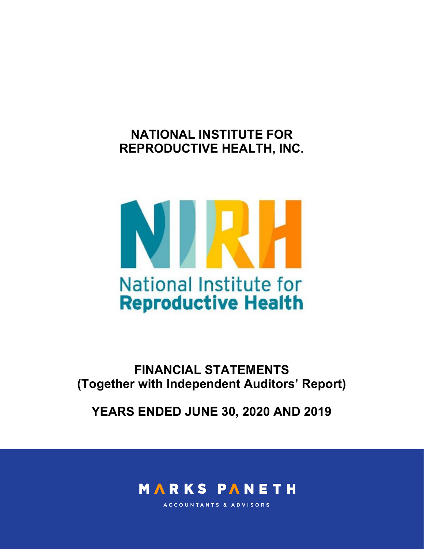# NATIONAL INSTITUTE FOR REPRODUCTIVE HEALTH, INC.



# FINANCIAL STATEMENTS (Together with Independent Auditors' Report)

YEARS ENDED JUNE 30, 2020 AND 2019



ACCOUNTANTS & ADVISORS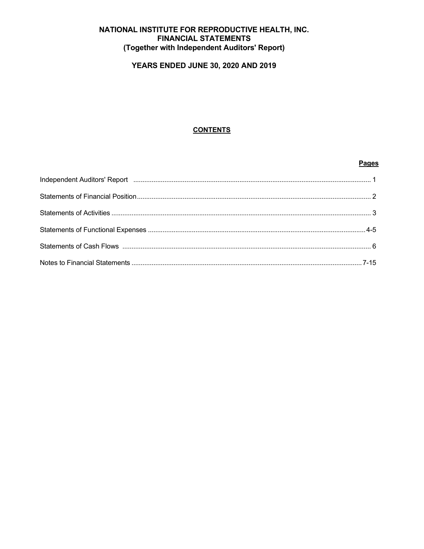# NATIONAL INSTITUTE FOR REPRODUCTIVE HEALTH, INC. **FINANCIAL STATEMENTS** (Together with Independent Auditors' Report)

# YEARS ENDED JUNE 30, 2020 AND 2019

# **CONTENTS**

#### Pages

| Independent Auditors' Report (and the continuum and continuum and contact and the control of the control of the |  |
|-----------------------------------------------------------------------------------------------------------------|--|
|                                                                                                                 |  |
|                                                                                                                 |  |
|                                                                                                                 |  |
|                                                                                                                 |  |
|                                                                                                                 |  |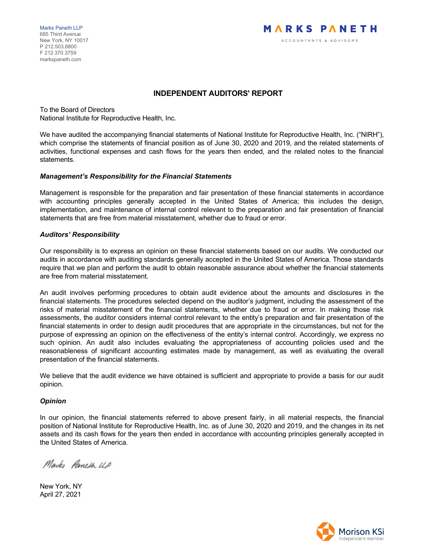Marks Paneth LLP 685 Third Avenue New York, NY 10017 P 212.503.8800 F 212.370.3759 markspaneth.com

# **MARKS PANETH** ACCOUNTANTS & ADVISORS

# INDEPENDENT AUDITORS' REPORT

To the Board of Directors National Institute for Reproductive Health, Inc.

We have audited the accompanying financial statements of National Institute for Reproductive Health, Inc. ("NIRH"), which comprise the statements of financial position as of June 30, 2020 and 2019, and the related statements of activities, functional expenses and cash flows for the years then ended, and the related notes to the financial statements.

#### Management's Responsibility for the Financial Statements

Management is responsible for the preparation and fair presentation of these financial statements in accordance with accounting principles generally accepted in the United States of America; this includes the design, implementation, and maintenance of internal control relevant to the preparation and fair presentation of financial statements that are free from material misstatement, whether due to fraud or error.

#### Auditors' Responsibility

Our responsibility is to express an opinion on these financial statements based on our audits. We conducted our audits in accordance with auditing standards generally accepted in the United States of America. Those standards require that we plan and perform the audit to obtain reasonable assurance about whether the financial statements are free from material misstatement.

An audit involves performing procedures to obtain audit evidence about the amounts and disclosures in the financial statements. The procedures selected depend on the auditor's judgment, including the assessment of the risks of material misstatement of the financial statements, whether due to fraud or error. In making those risk assessments, the auditor considers internal control relevant to the entity's preparation and fair presentation of the financial statements in order to design audit procedures that are appropriate in the circumstances, but not for the purpose of expressing an opinion on the effectiveness of the entity's internal control. Accordingly, we express no such opinion. An audit also includes evaluating the appropriateness of accounting policies used and the reasonableness of significant accounting estimates made by management, as well as evaluating the overall presentation of the financial statements.

We believe that the audit evidence we have obtained is sufficient and appropriate to provide a basis for our audit opinion.

#### **Opinion**

In our opinion, the financial statements referred to above present fairly, in all material respects, the financial position of National Institute for Reproductive Health, Inc. as of June 30, 2020 and 2019, and the changes in its net assets and its cash flows for the years then ended in accordance with accounting principles generally accepted in the United States of America.

Marks Paneth UP

New York, NY April 27, 2021

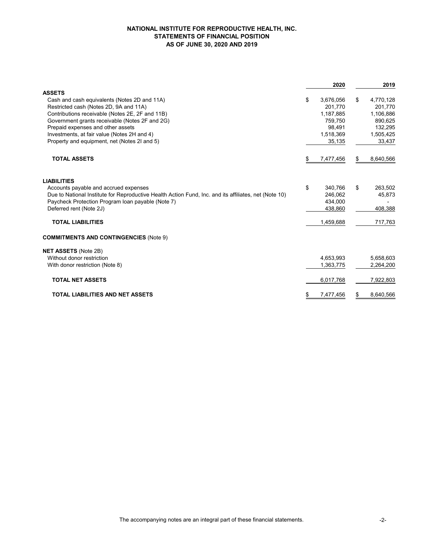## **NATIONAL INSTITUTE FOR REPRODUCTIVE HEALTH, INC. STATEMENTS OF FINANCIAL POSITION AS OF JUNE 30, 2020 AND 2019**

|                                                                                                       |    | 2020      | 2019            |
|-------------------------------------------------------------------------------------------------------|----|-----------|-----------------|
| <b>ASSETS</b>                                                                                         |    |           |                 |
| Cash and cash equivalents (Notes 2D and 11A)                                                          | \$ | 3,676,056 | \$<br>4,770,128 |
| Restricted cash (Notes 2D, 9A and 11A)                                                                |    | 201,770   | 201,770         |
| Contributions receivable (Notes 2E, 2F and 11B)                                                       |    | 1,187,885 | 1,106,886       |
| Government grants receivable (Notes 2F and 2G)                                                        |    | 759.750   | 890,625         |
| Prepaid expenses and other assets                                                                     |    | 98,491    | 132,295         |
| Investments, at fair value (Notes 2H and 4)                                                           |    | 1,518,369 | 1,505,425       |
| Property and equipment, net (Notes 2I and 5)                                                          |    | 35,135    | 33,437          |
| <b>TOTAL ASSETS</b>                                                                                   | \$ | 7,477,456 | \$<br>8,640,566 |
| <b>LIABILITIES</b>                                                                                    |    |           |                 |
| Accounts payable and accrued expenses                                                                 | \$ | 340.766   | \$<br>263,502   |
| Due to National Institute for Reproductive Health Action Fund, Inc. and its affiliates, net (Note 10) |    | 246,062   | 45,873          |
| Paycheck Protection Program Ioan payable (Note 7)                                                     |    | 434.000   |                 |
| Deferred rent (Note 2J)                                                                               |    | 438,860   | 408,388         |
| <b>TOTAL LIABILITIES</b>                                                                              |    | 1,459,688 | 717,763         |
| <b>COMMITMENTS AND CONTINGENCIES (Note 9)</b>                                                         |    |           |                 |
| <b>NET ASSETS (Note 2B)</b>                                                                           |    |           |                 |
| Without donor restriction                                                                             |    | 4.653.993 | 5,658,603       |
| With donor restriction (Note 8)                                                                       |    | 1,363,775 | 2,264,200       |
| <b>TOTAL NET ASSETS</b>                                                                               |    | 6,017,768 | 7,922,803       |
| <b>TOTAL LIABILITIES AND NET ASSETS</b>                                                               | S. | 7,477,456 | \$<br>8,640,566 |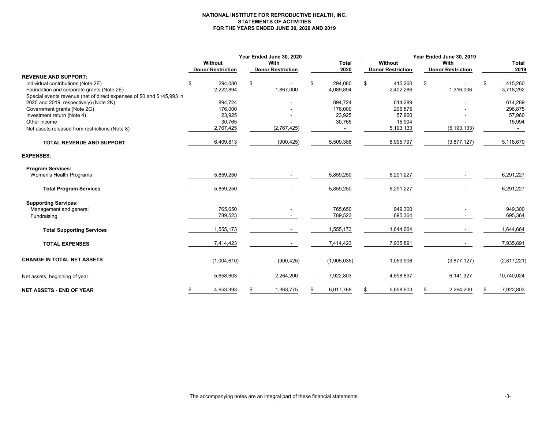#### **NATIONAL INSTITUTE FOR REPRODUCTIVE HEALTH, INC. STATEMENTS OF ACTIVITIES FOR THE YEARS ENDED JUNE 30, 2020 AND 2019**

|                                                                        | Year Ended June 30, 2020 |                                            |    |                                  | Year Ended June 30, 2019 |    |                                     |    |                                  |    |                      |
|------------------------------------------------------------------------|--------------------------|--------------------------------------------|----|----------------------------------|--------------------------|----|-------------------------------------|----|----------------------------------|----|----------------------|
|                                                                        |                          | <b>Without</b><br><b>Donor Restriction</b> |    | With<br><b>Donor Restriction</b> | <b>Total</b><br>2020     |    | Without<br><b>Donor Restriction</b> |    | With<br><b>Donor Restriction</b> |    | <b>Total</b><br>2019 |
| <b>REVENUE AND SUPPORT:</b>                                            |                          |                                            |    |                                  |                          |    |                                     |    |                                  |    |                      |
| Individual contributions (Note 2E)                                     | \$                       | 294,080                                    | \$ |                                  | \$<br>294,080            | \$ | 415,260                             | \$ |                                  | \$ | 415,260              |
| Foundation and corporate grants (Note 2E)                              |                          | 2,222,894                                  |    | 1,867,000                        | 4,089,894                |    | 2,402,286                           |    | 1,316,006                        |    | 3,718,292            |
| Special events revenue (net of direct expenses of \$0 and \$145,993 in |                          |                                            |    |                                  |                          |    |                                     |    |                                  |    |                      |
| 2020 and 2019, respectively) (Note 2K)                                 |                          | 894,724                                    |    |                                  | 894,724                  |    | 614,289                             |    |                                  |    | 614,289              |
| Government grants (Note 2G)                                            |                          | 176,000                                    |    |                                  | 176,000                  |    | 296,875                             |    |                                  |    | 296,875              |
| Investment return (Note 4)                                             |                          | 23,925                                     |    |                                  | 23,925                   |    | 57,960                              |    |                                  |    | 57,960               |
| Other income                                                           |                          | 30,765                                     |    |                                  | 30,765                   |    | 15,994                              |    |                                  |    | 15,994               |
| Net assets released from restrictions (Note 8)                         |                          | 2,767,425                                  |    | (2,767,425)                      |                          |    | 5,193,133                           |    | (5, 193, 133)                    |    | $\sim$               |
| <b>TOTAL REVENUE AND SUPPORT</b>                                       |                          | 6,409,813                                  |    | (900, 425)                       | 5,509,388                |    | 8,995,797                           |    | (3,877,127)                      |    | 5,118,670            |
| <b>EXPENSES:</b>                                                       |                          |                                            |    |                                  |                          |    |                                     |    |                                  |    |                      |
| <b>Program Services:</b>                                               |                          |                                            |    |                                  |                          |    |                                     |    |                                  |    |                      |
| Women's Health Programs                                                |                          | 5,859,250                                  |    |                                  | 5,859,250                |    | 6,291,227                           |    |                                  |    | 6,291,227            |
| <b>Total Program Services</b>                                          |                          | 5,859,250                                  |    |                                  | 5,859,250                |    | 6,291,227                           |    |                                  |    | 6,291,227            |
| <b>Supporting Services:</b>                                            |                          |                                            |    |                                  |                          |    |                                     |    |                                  |    |                      |
| Management and general                                                 |                          | 765,650                                    |    |                                  | 765,650                  |    | 949,300                             |    |                                  |    | 949,300              |
| Fundraising                                                            |                          | 789,523                                    |    |                                  | 789,523                  |    | 695,364                             |    |                                  |    | 695,364              |
| <b>Total Supporting Services</b>                                       |                          | 1,555,173                                  |    |                                  | 1,555,173                |    | 1,644,664                           |    |                                  |    | 1,644,664            |
| <b>TOTAL EXPENSES</b>                                                  |                          | 7,414,423                                  |    |                                  | 7,414,423                |    | 7,935,891                           |    |                                  |    | 7,935,891            |
| <b>CHANGE IN TOTAL NET ASSETS</b>                                      |                          | (1,004,610)                                |    | (900, 425)                       | (1,905,035)              |    | 1,059,906                           |    | (3,877,127)                      |    | (2,817,221)          |
| Net assets, beginning of year                                          |                          | 5,658,603                                  |    | 2,264,200                        | 7,922,803                |    | 4,598,697                           |    | 6,141,327                        |    | 10,740,024           |
| <b>NET ASSETS - END OF YEAR</b>                                        |                          | 4,653,993                                  |    | 1,363,775                        | 6,017,768                |    | 5,658,603                           |    | 2,264,200                        |    | 7,922,803            |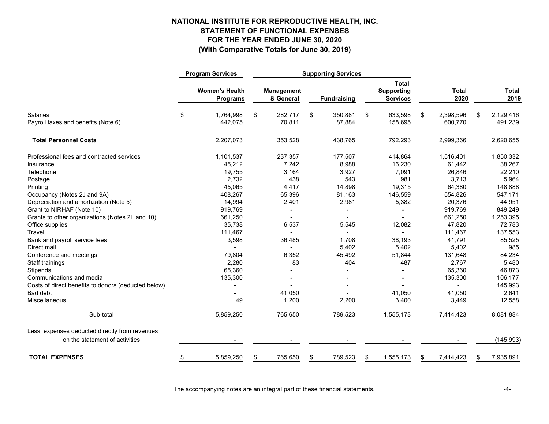# **NATIONAL INSTITUTE FOR REPRODUCTIVE HEALTH, INC. STATEMENT OF FUNCTIONAL EXPENSES FOR THE YEAR ENDED JUNE 30, 2020 (With Comparative Totals for June 30, 2019)**

|                                                     | <b>Program Services</b>                  | <b>Supporting Services</b>     |    |                    |                                                      |                      |                      |
|-----------------------------------------------------|------------------------------------------|--------------------------------|----|--------------------|------------------------------------------------------|----------------------|----------------------|
|                                                     | <b>Women's Health</b><br><b>Programs</b> | <b>Management</b><br>& General |    | <b>Fundraising</b> | <b>Total</b><br><b>Supporting</b><br><b>Services</b> | <b>Total</b><br>2020 | <b>Total</b><br>2019 |
| <b>Salaries</b>                                     | \$<br>1,764,998                          | \$<br>282,717                  | \$ | 350,881            | \$<br>633,598                                        | \$<br>2,398,596      | \$<br>2,129,416      |
| Payroll taxes and benefits (Note 6)                 | 442,075                                  | 70,811                         |    | 87,884             | 158,695                                              | 600,770              | 491,239              |
| <b>Total Personnel Costs</b>                        | 2,207,073                                | 353,528                        |    | 438,765            | 792,293                                              | 2,999,366            | 2,620,655            |
| Professional fees and contracted services           | 1,101,537                                | 237,357                        |    | 177,507            | 414,864                                              | 1,516,401            | 1,850,332            |
| Insurance                                           | 45,212                                   | 7,242                          |    | 8,988              | 16,230                                               | 61,442               | 38,267               |
| Telephone                                           | 19,755                                   | 3,164                          |    | 3,927              | 7,091                                                | 26,846               | 22,210               |
| Postage                                             | 2,732                                    | 438                            |    | 543                | 981                                                  | 3,713                | 5,964                |
| Printing                                            | 45,065                                   | 4,417                          |    | 14,898             | 19,315                                               | 64,380               | 148,888              |
| Occupancy (Notes 2J and 9A)                         | 408,267                                  | 65,396                         |    | 81,163             | 146,559                                              | 554,826              | 547,171              |
| Depreciation and amortization (Note 5)              | 14,994                                   | 2,401                          |    | 2,981              | 5,382                                                | 20,376               | 44,951               |
| Grant to NIRHAF (Note 10)                           | 919,769                                  |                                |    |                    |                                                      | 919,769              | 849,249              |
| Grants to other organizations (Notes 2L and 10)     | 661,250                                  |                                |    |                    |                                                      | 661,250              | 1,253,395            |
| Office supplies                                     | 35,738                                   | 6,537                          |    | 5,545              | 12,082                                               | 47,820               | 72,783               |
| Travel                                              | 111,467                                  |                                |    |                    |                                                      | 111,467              | 137,553              |
| Bank and payroll service fees                       | 3,598                                    | 36,485                         |    | 1.708              | 38,193                                               | 41,791               | 85,525               |
| Direct mail                                         |                                          |                                |    | 5,402              | 5.402                                                | 5,402                | 985                  |
| Conference and meetings                             | 79,804                                   | 6,352                          |    | 45,492             | 51,844                                               | 131,648              | 84,234               |
| Staff trainings                                     | 2,280                                    | 83                             |    | 404                | 487                                                  | 2,767                | 5,480                |
| Stipends                                            | 65,360                                   |                                |    |                    |                                                      | 65,360               | 46,873               |
| Communications and media                            | 135,300                                  |                                |    |                    |                                                      | 135,300              | 106,177              |
| Costs of direct benefits to donors (deducted below) |                                          |                                |    |                    |                                                      |                      | 145,993              |
| Bad debt                                            |                                          | 41,050                         |    |                    | 41,050                                               | 41,050               | 2,641                |
| Miscellaneous                                       | 49                                       | 1,200                          |    | 2,200              | 3,400                                                | 3,449                | 12,558               |
| Sub-total                                           | 5,859,250                                | 765,650                        |    | 789,523            | 1,555,173                                            | 7,414,423            | 8,081,884            |
| Less: expenses deducted directly from revenues      |                                          |                                |    |                    |                                                      |                      |                      |
| on the statement of activities                      |                                          |                                |    |                    |                                                      |                      | (145, 993)           |
| <b>TOTAL EXPENSES</b>                               | \$<br>5,859,250                          | \$<br>765,650                  | \$ | 789,523            | \$<br>1,555,173                                      | \$<br>7,414,423      | \$<br>7,935,891      |

The accompanying notes are an integral part of these financial statements. The accompanying notes are an integral part of these financial statements.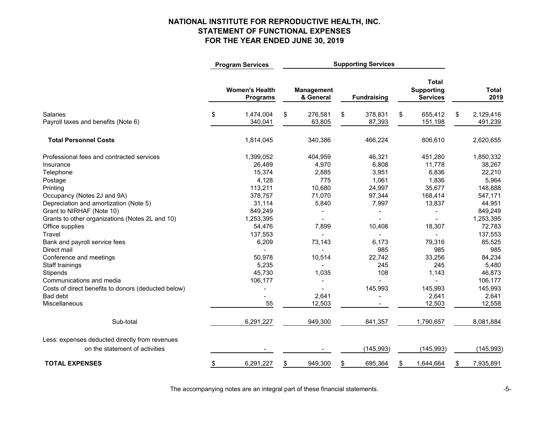# **NATIONAL INSTITUTE FOR REPRODUCTIVE HEALTH, INC. STATEMENT OF FUNCTIONAL EXPENSES FOR THE YEAR ENDED JUNE 30, 2019**

|                                                                 | <b>Program Services</b>                  | <b>Supporting Services</b>     |    |                    |                                                      |                            |
|-----------------------------------------------------------------|------------------------------------------|--------------------------------|----|--------------------|------------------------------------------------------|----------------------------|
|                                                                 | <b>Women's Health</b><br><b>Programs</b> | <b>Management</b><br>& General |    | <b>Fundraising</b> | <b>Total</b><br><b>Supporting</b><br><b>Services</b> | <b>Total</b><br>2019       |
| Salaries<br>Payroll taxes and benefits (Note 6)                 | \$<br>1,474,004<br>340,041               | \$<br>276,581<br>63,805        | \$ | 378,831<br>87,393  | \$<br>655,412<br>151,198                             | \$<br>2,129,416<br>491,239 |
|                                                                 |                                          |                                |    |                    |                                                      |                            |
| <b>Total Personnel Costs</b>                                    | 1,814,045                                | 340,386                        |    | 466,224            | 806,610                                              | 2,620,655                  |
| Professional fees and contracted services                       | 1,399,052                                | 404,959                        |    | 46,321             | 451,280                                              | 1,850,332                  |
| Insurance                                                       | 26,489                                   | 4,970                          |    | 6,808              | 11,778                                               | 38,267                     |
| Telephone                                                       | 15,374                                   | 2,885                          |    | 3,951              | 6,836                                                | 22,210                     |
| Postage                                                         | 4,128                                    | 775                            |    | 1,061              | 1,836                                                | 5,964                      |
| Printing                                                        | 113,211                                  | 10,680                         |    | 24,997             | 35,677                                               | 148,888                    |
| Occupancy (Notes 2J and 9A)                                     | 378,757                                  | 71,070                         |    | 97,344             | 168,414                                              | 547,171                    |
| Depreciation and amortization (Note 5)                          | 31,114                                   | 5,840                          |    | 7,997              | 13,837                                               | 44,951                     |
| Grant to NIRHAF (Note 10)                                       | 849,249                                  |                                |    |                    |                                                      | 849,249                    |
| Grants to other organizations (Notes 2L and 10)                 | 1,253,395                                |                                |    |                    |                                                      | 1,253,395                  |
| Office supplies                                                 | 54,476                                   | 7,899                          |    | 10,408             | 18,307                                               | 72,783                     |
| Travel                                                          | 137,553                                  |                                |    |                    |                                                      | 137,553                    |
| Bank and payroll service fees                                   | 6,209                                    | 73,143                         |    | 6,173              | 79,316                                               | 85,525                     |
| Direct mail                                                     |                                          |                                |    | 985                | 985                                                  | 985                        |
| Conference and meetings                                         | 50,978                                   | 10,514                         |    | 22,742             | 33,256                                               | 84,234                     |
| Staff trainings                                                 | 5,235                                    |                                |    | 245                | 245                                                  | 5,480                      |
| Stipends                                                        | 45,730                                   | 1,035                          |    | 108                | 1,143                                                | 46,873                     |
| Communications and media                                        | 106,177                                  |                                |    | 145,993            | 145,993                                              | 106,177                    |
| Costs of direct benefits to donors (deducted below)<br>Bad debt |                                          | 2,641                          |    |                    | 2,641                                                | 145,993<br>2,641           |
| Miscellaneous                                                   | 55                                       | 12,503                         |    |                    | 12,503                                               | 12,558                     |
| Sub-total                                                       | 6,291,227                                | 949,300                        |    | 841,357            | 1,790,657                                            | 8,081,884                  |
| Less: expenses deducted directly from revenues                  |                                          |                                |    |                    |                                                      |                            |
| on the statement of activities                                  |                                          |                                |    | (145, 993)         | (145, 993)                                           | (145, 993)                 |
| <b>TOTAL EXPENSES</b>                                           | \$<br>6,291,227                          | \$<br>949,300                  | \$ | 695,364            | \$<br>1,644,664                                      | \$<br>7,935,891            |

The accompanying notes are an integral part of these financial statements. The accompanying notes are an integral part of these financial statements.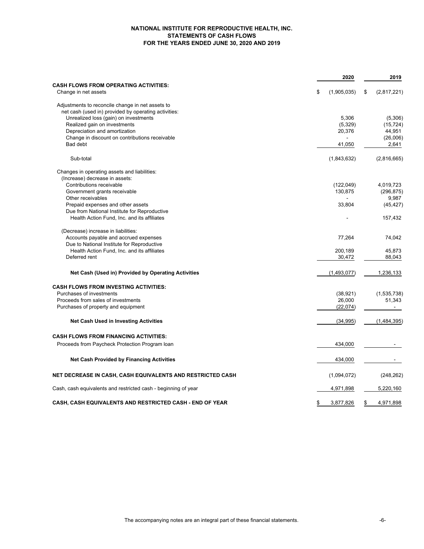#### **NATIONAL INSTITUTE FOR REPRODUCTIVE HEALTH, INC. STATEMENTS OF CASH FLOWS FOR THE YEARS ENDED JUNE 30, 2020 AND 2019**

|                                                                | 2020            | 2019              |  |  |
|----------------------------------------------------------------|-----------------|-------------------|--|--|
| <b>CASH FLOWS FROM OPERATING ACTIVITIES:</b>                   | \$              |                   |  |  |
| Change in net assets                                           | (1,905,035)     | (2,817,221)<br>\$ |  |  |
| Adjustments to reconcile change in net assets to               |                 |                   |  |  |
| net cash (used in) provided by operating activities:           |                 |                   |  |  |
| Unrealized loss (gain) on investments                          | 5,306           | (5,306)           |  |  |
| Realized gain on investments                                   | (5,329)         | (15, 724)         |  |  |
| Depreciation and amortization                                  | 20,376          | 44,951            |  |  |
| Change in discount on contributions receivable                 |                 | (26,006)          |  |  |
| Bad debt                                                       | 41,050          | 2,641             |  |  |
| Sub-total                                                      | (1,843,632)     | (2,816,665)       |  |  |
| Changes in operating assets and liabilities:                   |                 |                   |  |  |
| (Increase) decrease in assets:                                 |                 |                   |  |  |
| Contributions receivable                                       | (122, 049)      | 4,019,723         |  |  |
| Government grants receivable                                   | 130,875         | (296, 875)        |  |  |
| Other receivables                                              |                 | 9,987             |  |  |
| Prepaid expenses and other assets                              | 33,804          | (45, 427)         |  |  |
| Due from National Institute for Reproductive                   |                 |                   |  |  |
| Health Action Fund. Inc. and its affiliates                    |                 | 157,432           |  |  |
| (Decrease) increase in liabilities:                            |                 |                   |  |  |
| Accounts payable and accrued expenses                          | 77,264          | 74,042            |  |  |
| Due to National Institute for Reproductive                     |                 |                   |  |  |
| Health Action Fund, Inc. and its affiliates                    | 200,189         | 45,873            |  |  |
| Deferred rent                                                  | 30,472          | 88,043            |  |  |
| Net Cash (Used in) Provided by Operating Activities            | (1,493,077)     | 1,236,133         |  |  |
| <b>CASH FLOWS FROM INVESTING ACTIVITIES:</b>                   |                 |                   |  |  |
| Purchases of investments                                       | (38, 921)       | (1,535,738)       |  |  |
| Proceeds from sales of investments                             | 26,000          | 51,343            |  |  |
| Purchases of property and equipment                            | (22, 074)       |                   |  |  |
| <b>Net Cash Used in Investing Activities</b>                   | (34, 995)       | (1,484,395)       |  |  |
| <b>CASH FLOWS FROM FINANCING ACTIVITIES:</b>                   |                 |                   |  |  |
| Proceeds from Paycheck Protection Program Ioan                 | 434,000         |                   |  |  |
| <b>Net Cash Provided by Financing Activities</b>               | 434,000         |                   |  |  |
| NET DECREASE IN CASH, CASH EQUIVALENTS AND RESTRICTED CASH     | (1,094,072)     | (248, 262)        |  |  |
| Cash, cash equivalents and restricted cash - beginning of year | 4,971,898       | 5,220,160         |  |  |
| CASH, CASH EQUIVALENTS AND RESTRICTED CASH - END OF YEAR       | \$<br>3,877,826 | \$<br>4,971,898   |  |  |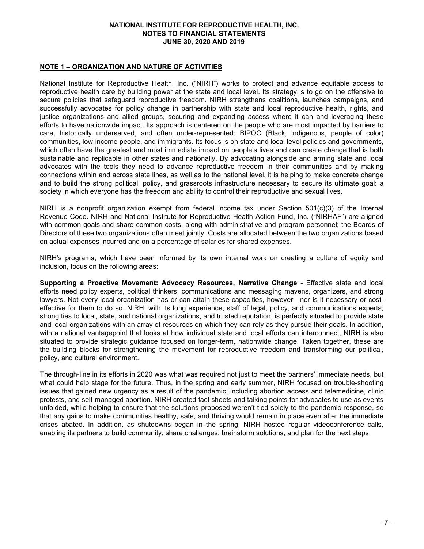## NOTE 1 – ORGANIZATION AND NATURE OF ACTIVITIES

National Institute for Reproductive Health, Inc. ("NIRH") works to protect and advance equitable access to reproductive health care by building power at the state and local level. Its strategy is to go on the offensive to secure policies that safeguard reproductive freedom. NIRH strengthens coalitions, launches campaigns, and successfully advocates for policy change in partnership with state and local reproductive health, rights, and justice organizations and allied groups, securing and expanding access where it can and leveraging these efforts to have nationwide impact. Its approach is centered on the people who are most impacted by barriers to care, historically underserved, and often under-represented: BIPOC (Black, indigenous, people of color) communities, low-income people, and immigrants. Its focus is on state and local level policies and governments, which often have the greatest and most immediate impact on people's lives and can create change that is both sustainable and replicable in other states and nationally. By advocating alongside and arming state and local advocates with the tools they need to advance reproductive freedom in their communities and by making connections within and across state lines, as well as to the national level, it is helping to make concrete change and to build the strong political, policy, and grassroots infrastructure necessary to secure its ultimate goal: a society in which everyone has the freedom and ability to control their reproductive and sexual lives.

NIRH is a nonprofit organization exempt from federal income tax under Section 501(c)(3) of the Internal Revenue Code. NIRH and National Institute for Reproductive Health Action Fund, Inc. ("NIRHAF") are aligned with common goals and share common costs, along with administrative and program personnel; the Boards of Directors of these two organizations often meet jointly. Costs are allocated between the two organizations based on actual expenses incurred and on a percentage of salaries for shared expenses.

NIRH's programs, which have been informed by its own internal work on creating a culture of equity and inclusion, focus on the following areas:

Supporting a Proactive Movement: Advocacy Resources, Narrative Change - Effective state and local efforts need policy experts, political thinkers, communications and messaging mavens, organizers, and strong lawyers. Not every local organization has or can attain these capacities, however—nor is it necessary or costeffective for them to do so. NIRH, with its long experience, staff of legal, policy, and communications experts, strong ties to local, state, and national organizations, and trusted reputation, is perfectly situated to provide state and local organizations with an array of resources on which they can rely as they pursue their goals. In addition, with a national vantagepoint that looks at how individual state and local efforts can interconnect, NIRH is also situated to provide strategic guidance focused on longer-term, nationwide change. Taken together, these are the building blocks for strengthening the movement for reproductive freedom and transforming our political, policy, and cultural environment.

The through-line in its efforts in 2020 was what was required not just to meet the partners' immediate needs, but what could help stage for the future. Thus, in the spring and early summer, NIRH focused on trouble-shooting issues that gained new urgency as a result of the pandemic, including abortion access and telemedicine, clinic protests, and self-managed abortion. NIRH created fact sheets and talking points for advocates to use as events unfolded, while helping to ensure that the solutions proposed weren't tied solely to the pandemic response, so that any gains to make communities healthy, safe, and thriving would remain in place even after the immediate crises abated. In addition, as shutdowns began in the spring, NIRH hosted regular videoconference calls, enabling its partners to build community, share challenges, brainstorm solutions, and plan for the next steps.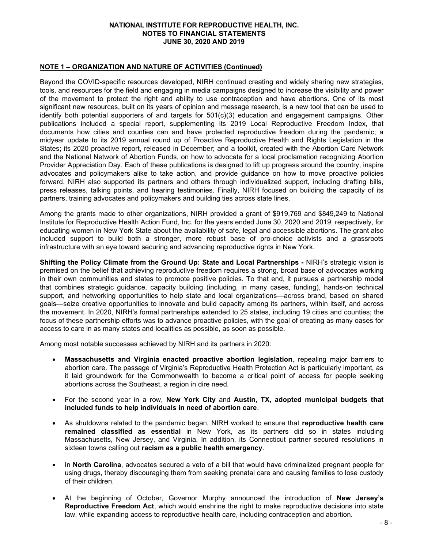## NOTE 1 – ORGANIZATION AND NATURE OF ACTIVITIES (Continued)

Beyond the COVID-specific resources developed, NIRH continued creating and widely sharing new strategies, tools, and resources for the field and engaging in media campaigns designed to increase the visibility and power of the movement to protect the right and ability to use contraception and have abortions. One of its most significant new resources, built on its years of opinion and message research, is a new tool that can be used to identify both potential supporters of and targets for 501(c)(3) education and engagement campaigns. Other publications included a special report, supplementing its 2019 Local Reproductive Freedom Index, that documents how cities and counties can and have protected reproductive freedom during the pandemic; a midyear update to its 2019 annual round up of Proactive Reproductive Health and Rights Legislation in the States; its 2020 proactive report, released in December; and a toolkit, created with the Abortion Care Network and the National Network of Abortion Funds, on how to advocate for a local proclamation recognizing Abortion Provider Appreciation Day. Each of these publications is designed to lift up progress around the country, inspire advocates and policymakers alike to take action, and provide guidance on how to move proactive policies forward. NIRH also supported its partners and others through individualized support, including drafting bills, press releases, talking points, and hearing testimonies. Finally, NIRH focused on building the capacity of its partners, training advocates and policymakers and building ties across state lines.

Among the grants made to other organizations, NIRH provided a grant of \$919,769 and \$849,249 to National Institute for Reproductive Health Action Fund, Inc. for the years ended June 30, 2020 and 2019, respectively, for educating women in New York State about the availability of safe, legal and accessible abortions. The grant also included support to build both a stronger, more robust base of pro-choice activists and a grassroots infrastructure with an eye toward securing and advancing reproductive rights in New York.

Shifting the Policy Climate from the Ground Up: State and Local Partnerships - NIRH's strategic vision is premised on the belief that achieving reproductive freedom requires a strong, broad base of advocates working in their own communities and states to promote positive policies. To that end, it pursues a partnership model that combines strategic guidance, capacity building (including, in many cases, funding), hands-on technical support, and networking opportunities to help state and local organizations—across brand, based on shared goals—seize creative opportunities to innovate and build capacity among its partners, within itself, and across the movement. In 2020, NIRH's formal partnerships extended to 25 states, including 19 cities and counties; the focus of these partnership efforts was to advance proactive policies, with the goal of creating as many oases for access to care in as many states and localities as possible, as soon as possible.

Among most notable successes achieved by NIRH and its partners in 2020:

- Massachusetts and Virginia enacted proactive abortion legislation, repealing major barriers to abortion care. The passage of Virginia's Reproductive Health Protection Act is particularly important, as it laid groundwork for the Commonwealth to become a critical point of access for people seeking abortions across the Southeast, a region in dire need.
- For the second year in a row, New York City and Austin, TX, adopted municipal budgets that included funds to help individuals in need of abortion care.
- As shutdowns related to the pandemic began, NIRH worked to ensure that reproductive health care remained classified as essential in New York, as its partners did so in states including Massachusetts, New Jersey, and Virginia. In addition, its Connecticut partner secured resolutions in sixteen towns calling out racism as a public health emergency.
- In North Carolina, advocates secured a veto of a bill that would have criminalized pregnant people for using drugs, thereby discouraging them from seeking prenatal care and causing families to lose custody of their children.
- At the beginning of October, Governor Murphy announced the introduction of **New Jersey's** Reproductive Freedom Act, which would enshrine the right to make reproductive decisions into state law, while expanding access to reproductive health care, including contraception and abortion.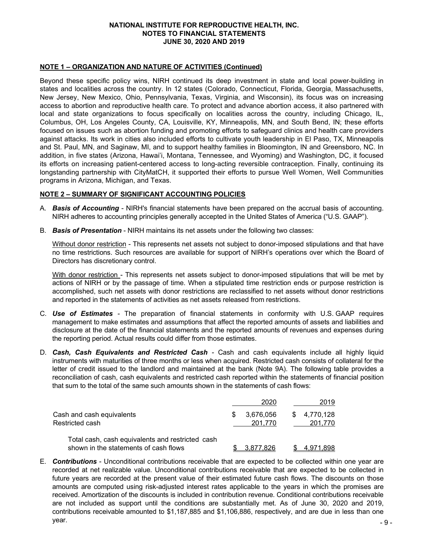# NOTE 1 – ORGANIZATION AND NATURE OF ACTIVITIES (Continued)

Beyond these specific policy wins, NIRH continued its deep investment in state and local power-building in states and localities across the country. In 12 states (Colorado, Connecticut, Florida, Georgia, Massachusetts, New Jersey, New Mexico, Ohio, Pennsylvania, Texas, Virginia, and Wisconsin), its focus was on increasing access to abortion and reproductive health care. To protect and advance abortion access, it also partnered with local and state organizations to focus specifically on localities across the country, including Chicago, IL, Columbus, OH, Los Angeles County, CA, Louisville, KY, Minneapolis, MN, and South Bend, IN; these efforts focused on issues such as abortion funding and promoting efforts to safeguard clinics and health care providers against attacks. Its work in cities also included efforts to cultivate youth leadership in El Paso, TX, Minneapolis and St. Paul, MN, and Saginaw, MI, and to support healthy families in Bloomington, IN and Greensboro, NC. In addition, in five states (Arizona, Hawai'i, Montana, Tennessee, and Wyoming) and Washington, DC, it focused its efforts on increasing patient-centered access to long-acting reversible contraception. Finally, continuing its longstanding partnership with CityMatCH, it supported their efforts to pursue Well Women, Well Communities programs in Arizona, Michigan, and Texas.

## NOTE 2 – SUMMARY OF SIGNIFICANT ACCOUNTING POLICIES

- A. **Basis of Accounting** NIRH's financial statements have been prepared on the accrual basis of accounting. NIRH adheres to accounting principles generally accepted in the United States of America ("U.S. GAAP").
- B. **Basis of Presentation** NIRH maintains its net assets under the following two classes:

Without donor restriction - This represents net assets not subject to donor-imposed stipulations and that have no time restrictions. Such resources are available for support of NIRH's operations over which the Board of Directors has discretionary control.

With donor restriction - This represents net assets subject to donor-imposed stipulations that will be met by actions of NIRH or by the passage of time. When a stipulated time restriction ends or purpose restriction is accomplished, such net assets with donor restrictions are reclassified to net assets without donor restrictions and reported in the statements of activities as net assets released from restrictions.

- C. Use of Estimates The preparation of financial statements in conformity with U.S. GAAP requires management to make estimates and assumptions that affect the reported amounts of assets and liabilities and disclosure at the date of the financial statements and the reported amounts of revenues and expenses during the reporting period. Actual results could differ from those estimates.
- D. Cash, Cash Equivalents and Restricted Cash Cash and cash equivalents include all highly liquid instruments with maturities of three months or less when acquired. Restricted cash consists of collateral for the letter of credit issued to the landlord and maintained at the bank (Note 9A). The following table provides a reconciliation of cash, cash equivalents and restricted cash reported within the statements of financial position that sum to the total of the same such amounts shown in the statements of cash flows:

|                                                                                           | 2020                 | 2019                   |
|-------------------------------------------------------------------------------------------|----------------------|------------------------|
| Cash and cash equivalents<br>Restricted cash                                              | 3,676,056<br>201.770 | \$4.770.128<br>201.770 |
| Total cash, cash equivalents and restricted cash<br>shown in the statements of cash flows | 3.877.826            | 4.971.898              |

E. Contributions - Unconditional contributions receivable that are expected to be collected within one year are recorded at net realizable value. Unconditional contributions receivable that are expected to be collected in future years are recorded at the present value of their estimated future cash flows. The discounts on those amounts are computed using risk-adjusted interest rates applicable to the years in which the promises are received. Amortization of the discounts is included in contribution revenue. Conditional contributions receivable are not included as support until the conditions are substantially met. As of June 30, 2020 and 2019, contributions receivable amounted to \$1,187,885 and \$1,106,886, respectively, and are due in less than one year.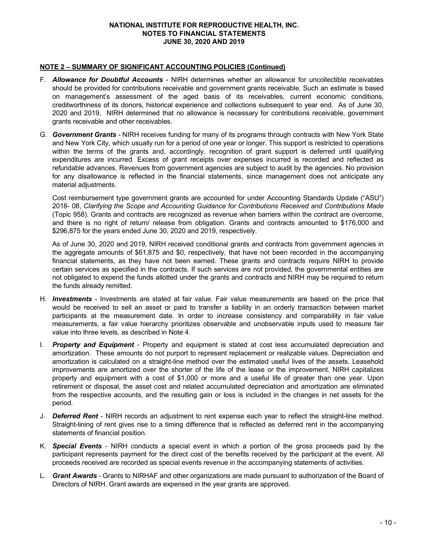# NOTE 2 – SUMMARY OF SIGNIFICANT ACCOUNTING POLICIES (Continued)

- F. Allowance for Doubtful Accounts NIRH determines whether an allowance for uncollectible receivables should be provided for contributions receivable and government grants receivable. Such an estimate is based on management's assessment of the aged basis of its receivables, current economic conditions, creditworthiness of its donors, historical experience and collections subsequent to year end. As of June 30, 2020 and 2019, NIRH determined that no allowance is necessary for contributions receivable, government grants receivable and other receivables.
- G. Government Grants NIRH receives funding for many of its programs through contracts with New York State and New York City, which usually run for a period of one year or longer. This support is restricted to operations within the terms of the grants and, accordingly, recognition of grant support is deferred until qualifying expenditures are incurred. Excess of grant receipts over expenses incurred is recorded and reflected as refundable advances. Revenues from government agencies are subject to audit by the agencies. No provision for any disallowance is reflected in the financial statements, since management does not anticipate any material adjustments.

 Cost reimbursement type government grants are accounted for under Accounting Standards Update ("ASU") 2018- 08, Clarifying the Scope and Accounting Guidance for Contributions Received and Contributions Made (Topic 958). Grants and contracts are recognized as revenue when barriers within the contract are overcome, and there is no right of return/ release from obligation. Grants and contracts amounted to \$176,000 and \$296,875 for the years ended June 30, 2020 and 2019, respectively.

 As of June 30, 2020 and 2019, NIRH received conditional grants and contracts from government agencies in the aggregate amounts of \$61,875 and \$0, respectively, that have not been recorded in the accompanying financial statements, as they have not been earned. These grants and contracts require NIRH to provide certain services as specified in the contracts. If such services are not provided, the governmental entities are not obligated to expend the funds allotted under the grants and contracts and NIRH may be required to return the funds already remitted.

- H. **Investments** Investments are stated at fair value. Fair value measurements are based on the price that would be received to sell an asset or paid to transfer a liability in an orderly transaction between market participants at the measurement date. In order to increase consistency and comparability in fair value measurements, a fair value hierarchy prioritizes observable and unobservable inputs used to measure fair value into three levels, as described in Note 4.
- I. Property and Equipment Property and equipment is stated at cost less accumulated depreciation and amortization. These amounts do not purport to represent replacement or realizable values. Depreciation and amortization is calculated on a straight-line method over the estimated useful lives of the assets. Leasehold improvements are amortized over the shorter of the life of the lease or the improvement. NIRH capitalizes property and equipment with a cost of \$1,000 or more and a useful life of greater than one year. Upon retirement or disposal, the asset cost and related accumulated depreciation and amortization are eliminated from the respective accounts, and the resulting gain or loss is included in the changes in net assets for the period.
- J. Deferred Rent NIRH records an adjustment to rent expense each year to reflect the straight-line method. Straight-lining of rent gives rise to a timing difference that is reflected as deferred rent in the accompanying statements of financial position.
- K. Special Events NIRH conducts a special event in which a portion of the gross proceeds paid by the participant represents payment for the direct cost of the benefits received by the participant at the event. All proceeds received are recorded as special events revenue in the accompanying statements of activities.
- L. Grant Awards Grants to NIRHAF and other organizations are made pursuant to authorization of the Board of Directors of NIRH. Grant awards are expensed in the year grants are approved.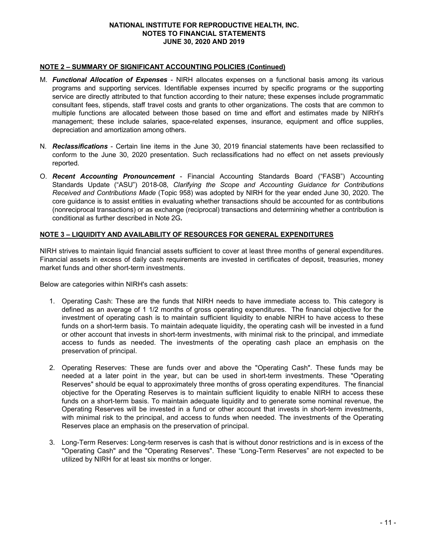# NOTE 2 – SUMMARY OF SIGNIFICANT ACCOUNTING POLICIES (Continued)

- M. Functional Allocation of Expenses NIRH allocates expenses on a functional basis among its various programs and supporting services. Identifiable expenses incurred by specific programs or the supporting service are directly attributed to that function according to their nature; these expenses include programmatic consultant fees, stipends, staff travel costs and grants to other organizations. The costs that are common to multiple functions are allocated between those based on time and effort and estimates made by NIRH's management; these include salaries, space-related expenses, insurance, equipment and office supplies, depreciation and amortization among others.
- N. **Reclassifications** Certain line items in the June 30, 2019 financial statements have been reclassified to conform to the June 30, 2020 presentation. Such reclassifications had no effect on net assets previously reported.
- O. Recent Accounting Pronouncement Financial Accounting Standards Board ("FASB") Accounting Standards Update ("ASU") 2018-08, Clarifying the Scope and Accounting Guidance for Contributions Received and Contributions Made (Topic 958) was adopted by NIRH for the year ended June 30, 2020. The core guidance is to assist entities in evaluating whether transactions should be accounted for as contributions (nonreciprocal transactions) or as exchange (reciprocal) transactions and determining whether a contribution is conditional as further described in Note 2G.

## NOTE 3 – LIQUIDITY AND AVAILABILITY OF RESOURCES FOR GENERAL EXPENDITURES

NIRH strives to maintain liquid financial assets sufficient to cover at least three months of general expenditures. Financial assets in excess of daily cash requirements are invested in certificates of deposit, treasuries, money market funds and other short-term investments.

Below are categories within NIRH's cash assets:

- 1. Operating Cash: These are the funds that NIRH needs to have immediate access to. This category is defined as an average of 1 1/2 months of gross operating expenditures. The financial objective for the investment of operating cash is to maintain sufficient liquidity to enable NIRH to have access to these funds on a short-term basis. To maintain adequate liquidity, the operating cash will be invested in a fund or other account that invests in short-term investments, with minimal risk to the principal, and immediate access to funds as needed. The investments of the operating cash place an emphasis on the preservation of principal.
- 2. Operating Reserves: These are funds over and above the "Operating Cash". These funds may be needed at a later point in the year, but can be used in short-term investments. These "Operating Reserves" should be equal to approximately three months of gross operating expenditures. The financial objective for the Operating Reserves is to maintain sufficient liquidity to enable NIRH to access these funds on a short-term basis. To maintain adequate liquidity and to generate some nominal revenue, the Operating Reserves will be invested in a fund or other account that invests in short-term investments, with minimal risk to the principal, and access to funds when needed. The investments of the Operating Reserves place an emphasis on the preservation of principal.
- 3. Long-Term Reserves: Long-term reserves is cash that is without donor restrictions and is in excess of the "Operating Cash" and the "Operating Reserves". These "Long-Term Reserves" are not expected to be utilized by NIRH for at least six months or longer.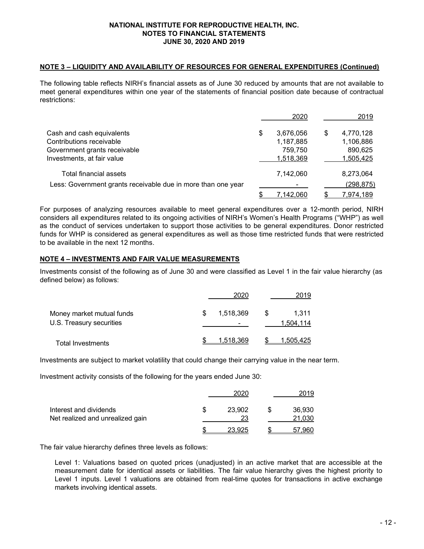### NOTE 3 – LIQUIDITY AND AVAILABILITY OF RESOURCES FOR GENERAL EXPENDITURES (Continued)

The following table reflects NIRH's financial assets as of June 30 reduced by amounts that are not available to meet general expenditures within one year of the statements of financial position date because of contractual restrictions:

|                                                                                                                     | 2020                                                 |   | 2019                                           |
|---------------------------------------------------------------------------------------------------------------------|------------------------------------------------------|---|------------------------------------------------|
| Cash and cash equivalents<br>Contributions receivable<br>Government grants receivable<br>Investments, at fair value | \$<br>3,676,056<br>1,187,885<br>759,750<br>1,518,369 | S | 4,770,128<br>1,106,886<br>890,625<br>1,505,425 |
| Total financial assets<br>Less: Government grants receivable due in more than one year                              | 7,142,060<br>7.142.060                               |   | 8,273,064<br>(298, 875)<br>7,974,189           |

For purposes of analyzing resources available to meet general expenditures over a 12-month period, NIRH considers all expenditures related to its ongoing activities of NIRH's Women's Health Programs ("WHP") as well as the conduct of services undertaken to support those activities to be general expenditures. Donor restricted funds for WHP is considered as general expenditures as well as those time restricted funds that were restricted to be available in the next 12 months.

# NOTE 4 – INVESTMENTS AND FAIR VALUE MEASUREMENTS

Investments consist of the following as of June 30 and were classified as Level 1 in the fair value hierarchy (as defined below) as follows:

|                                                       |   | 2020      |   | 2019               |
|-------------------------------------------------------|---|-----------|---|--------------------|
| Money market mutual funds<br>U.S. Treasury securities | S | 1,518,369 | S | 1.311<br>1.504.114 |
| Total Investments                                     |   | 1,518,369 |   | 1,505,425          |

Investments are subject to market volatility that could change their carrying value in the near term.

Investment activity consists of the following for the years ended June 30:

|                                                            | 2020         | 2019             |
|------------------------------------------------------------|--------------|------------------|
| Interest and dividends<br>Net realized and unrealized gain | 23.902<br>23 | 36,930<br>21.030 |
|                                                            | 23.925       | 57.960           |

The fair value hierarchy defines three levels as follows:

Level 1: Valuations based on quoted prices (unadjusted) in an active market that are accessible at the measurement date for identical assets or liabilities. The fair value hierarchy gives the highest priority to Level 1 inputs. Level 1 valuations are obtained from real-time quotes for transactions in active exchange markets involving identical assets.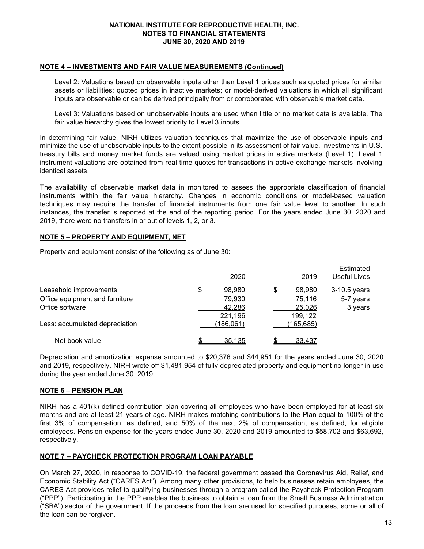# NOTE 4 – INVESTMENTS AND FAIR VALUE MEASUREMENTS (Continued)

Level 2: Valuations based on observable inputs other than Level 1 prices such as quoted prices for similar assets or liabilities; quoted prices in inactive markets; or model-derived valuations in which all significant inputs are observable or can be derived principally from or corroborated with observable market data.

Level 3: Valuations based on unobservable inputs are used when little or no market data is available. The fair value hierarchy gives the lowest priority to Level 3 inputs.

In determining fair value, NIRH utilizes valuation techniques that maximize the use of observable inputs and minimize the use of unobservable inputs to the extent possible in its assessment of fair value. Investments in U.S. treasury bills and money market funds are valued using market prices in active markets (Level 1). Level 1 instrument valuations are obtained from real-time quotes for transactions in active exchange markets involving identical assets.

The availability of observable market data in monitored to assess the appropriate classification of financial instruments within the fair value hierarchy. Changes in economic conditions or model-based valuation techniques may require the transfer of financial instruments from one fair value level to another. In such instances, the transfer is reported at the end of the reporting period. For the years ended June 30, 2020 and 2019, there were no transfers in or out of levels 1, 2, or 3.

## NOTE 5 – PROPERTY AND EQUIPMENT, NET

Property and equipment consist of the following as of June 30:

|                                | 2020               | 2019         | Estimated<br>Useful Lives |
|--------------------------------|--------------------|--------------|---------------------------|
| Leasehold improvements         | \$<br>98,980       | 98,980<br>\$ | 3-10.5 years              |
| Office equipment and furniture | 79,930             | 75,116       | 5-7 years                 |
| Office software                | 42,286             | 25,026       | 3 years                   |
|                                | 221,196            | 199,122      |                           |
| Less: accumulated depreciation | (186,061)          | (165, 685)   |                           |
| Net book value                 | S<br><u>35,135</u> | 33,437       |                           |

Depreciation and amortization expense amounted to \$20,376 and \$44,951 for the years ended June 30, 2020 and 2019, respectively. NIRH wrote off \$1,481,954 of fully depreciated property and equipment no longer in use during the year ended June 30, 2019.

# NOTE 6 – PENSION PLAN

NIRH has a 401(k) defined contribution plan covering all employees who have been employed for at least six months and are at least 21 years of age. NIRH makes matching contributions to the Plan equal to 100% of the first 3% of compensation, as defined, and 50% of the next 2% of compensation, as defined, for eligible employees. Pension expense for the years ended June 30, 2020 and 2019 amounted to \$58,702 and \$63,692, respectively.

# NOTE 7 – PAYCHECK PROTECTION PROGRAM LOAN PAYABLE

On March 27, 2020, in response to COVID-19, the federal government passed the Coronavirus Aid, Relief, and Economic Stability Act ("CARES Act"). Among many other provisions, to help businesses retain employees, the CARES Act provides relief to qualifying businesses through a program called the Paycheck Protection Program ("PPP"). Participating in the PPP enables the business to obtain a loan from the Small Business Administration ("SBA") sector of the government. If the proceeds from the loan are used for specified purposes, some or all of the loan can be forgiven.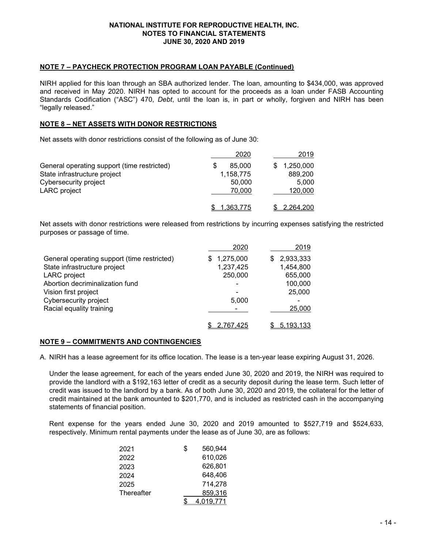# NOTE 7 – PAYCHECK PROTECTION PROGRAM LOAN PAYABLE (Continued)

NIRH applied for this loan through an SBA authorized lender. The loan, amounting to \$434,000, was approved and received in May 2020. NIRH has opted to account for the proceeds as a loan under FASB Accounting Standards Codification ("ASC") 470, Debt, until the loan is, in part or wholly, forgiven and NIRH has been "legally released."

# NOTE 8 – NET ASSETS WITH DONOR RESTRICTIONS

Net assets with donor restrictions consist of the following as of June 30:

|                                             | 2020             | 2019      |
|---------------------------------------------|------------------|-----------|
| General operating support (time restricted) | 85,000           | 1,250,000 |
| State infrastructure project                | 1,158,775        | 889,200   |
| Cybersecurity project                       | 50,000           | 5,000     |
| <b>LARC</b> project                         | 70,000           | 120,000   |
|                                             | <u>1,363,775</u> | 2.264.200 |

Net assets with donor restrictions were released from restrictions by incurring expenses satisfying the restricted purposes or passage of time.

|                                             | 2020           | 2019           |
|---------------------------------------------|----------------|----------------|
| General operating support (time restricted) | 1,275,000<br>S | 2,933,333<br>S |
| State infrastructure project                | 1,237,425      | 1,454,800      |
| <b>LARC</b> project                         | 250,000        | 655,000        |
| Abortion decriminalization fund             |                | 100,000        |
| Vision first project                        |                | 25,000         |
| Cybersecurity project                       | 5,000          |                |
| Racial equality training                    |                | 25,000         |
|                                             | 2,767,425      | 5,193,133      |

#### NOTE 9 – COMMITMENTS AND CONTINGENCIES

A. NIRH has a lease agreement for its office location. The lease is a ten-year lease expiring August 31, 2026.

 Under the lease agreement, for each of the years ended June 30, 2020 and 2019, the NIRH was required to provide the landlord with a \$192,163 letter of credit as a security deposit during the lease term. Such letter of credit was issued to the landlord by a bank. As of both June 30, 2020 and 2019, the collateral for the letter of credit maintained at the bank amounted to \$201,770, and is included as restricted cash in the accompanying statements of financial position.

 Rent expense for the years ended June 30, 2020 and 2019 amounted to \$527,719 and \$524,633, respectively. Minimum rental payments under the lease as of June 30, are as follows:

| 2021       | 560.944<br>\$ |  |
|------------|---------------|--|
| 2022       | 610,026       |  |
| 2023       | 626,801       |  |
| 2024       | 648,406       |  |
| 2025       | 714,278       |  |
| Thereafter | 859,316       |  |
|            | 019.771       |  |